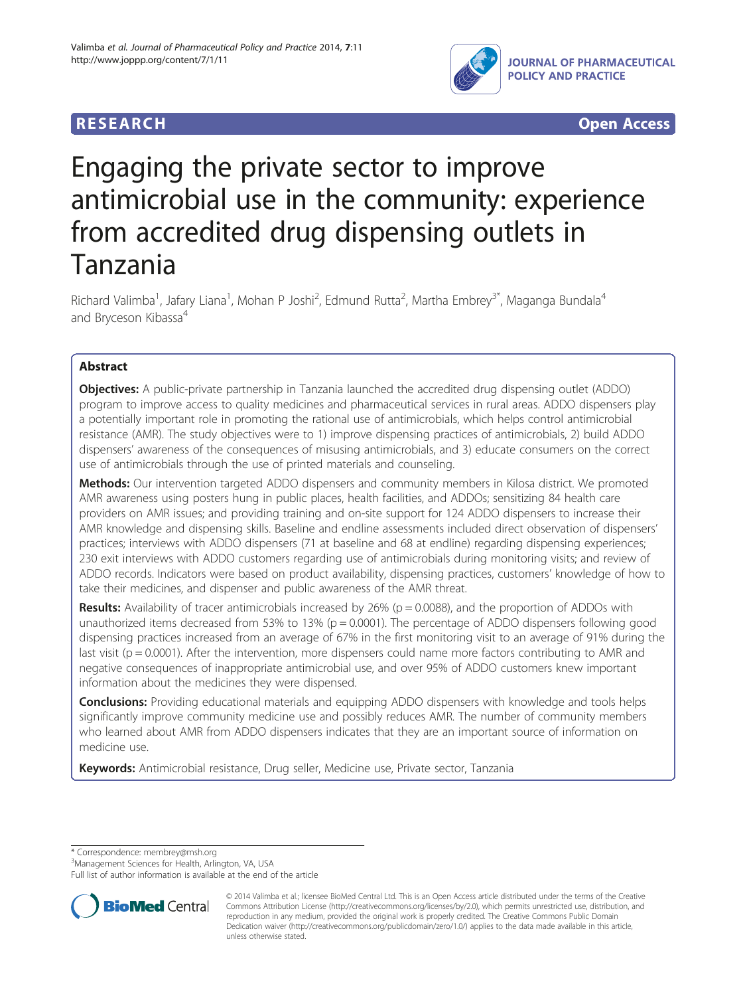



# Engaging the private sector to improve antimicrobial use in the community: experience from accredited drug dispensing outlets in Tanzania

Richard Valimba<sup>1</sup>, Jafary Liana<sup>1</sup>, Mohan P Joshi<sup>2</sup>, Edmund Rutta<sup>2</sup>, Martha Embrey<sup>3\*</sup>, Maganga Bundala<sup>4</sup> and Bryceson Kibassa<sup>4</sup>

# Abstract

Objectives: A public-private partnership in Tanzania launched the accredited drug dispensing outlet (ADDO) program to improve access to quality medicines and pharmaceutical services in rural areas. ADDO dispensers play a potentially important role in promoting the rational use of antimicrobials, which helps control antimicrobial resistance (AMR). The study objectives were to 1) improve dispensing practices of antimicrobials, 2) build ADDO dispensers' awareness of the consequences of misusing antimicrobials, and 3) educate consumers on the correct use of antimicrobials through the use of printed materials and counseling.

Methods: Our intervention targeted ADDO dispensers and community members in Kilosa district. We promoted AMR awareness using posters hung in public places, health facilities, and ADDOs; sensitizing 84 health care providers on AMR issues; and providing training and on-site support for 124 ADDO dispensers to increase their AMR knowledge and dispensing skills. Baseline and endline assessments included direct observation of dispensers' practices; interviews with ADDO dispensers (71 at baseline and 68 at endline) regarding dispensing experiences; 230 exit interviews with ADDO customers regarding use of antimicrobials during monitoring visits; and review of ADDO records. Indicators were based on product availability, dispensing practices, customers' knowledge of how to take their medicines, and dispenser and public awareness of the AMR threat.

**Results:** Availability of tracer antimicrobials increased by 26% ( $p = 0.0088$ ), and the proportion of ADDOs with unauthorized items decreased from 53% to 13% ( $p = 0.0001$ ). The percentage of ADDO dispensers following good dispensing practices increased from an average of 67% in the first monitoring visit to an average of 91% during the last visit ( $p = 0.0001$ ). After the intervention, more dispensers could name more factors contributing to AMR and negative consequences of inappropriate antimicrobial use, and over 95% of ADDO customers knew important information about the medicines they were dispensed.

**Conclusions:** Providing educational materials and equipping ADDO dispensers with knowledge and tools helps significantly improve community medicine use and possibly reduces AMR. The number of community members who learned about AMR from ADDO dispensers indicates that they are an important source of information on medicine use.

Keywords: Antimicrobial resistance, Drug seller, Medicine use, Private sector, Tanzania

\* Correspondence: [membrey@msh.org](mailto:membrey@msh.org) <sup>3</sup>

<sup>3</sup>Management Sciences for Health, Arlington, VA, USA

Full list of author information is available at the end of the article



<sup>© 2014</sup> Valimba et al.; licensee BioMed Central Ltd. This is an Open Access article distributed under the terms of the Creative Commons Attribution License [\(http://creativecommons.org/licenses/by/2.0\)](http://creativecommons.org/licenses/by/2.0), which permits unrestricted use, distribution, and reproduction in any medium, provided the original work is properly credited. The Creative Commons Public Domain Dedication waiver [\(http://creativecommons.org/publicdomain/zero/1.0/](http://creativecommons.org/publicdomain/zero/1.0/)) applies to the data made available in this article, unless otherwise stated.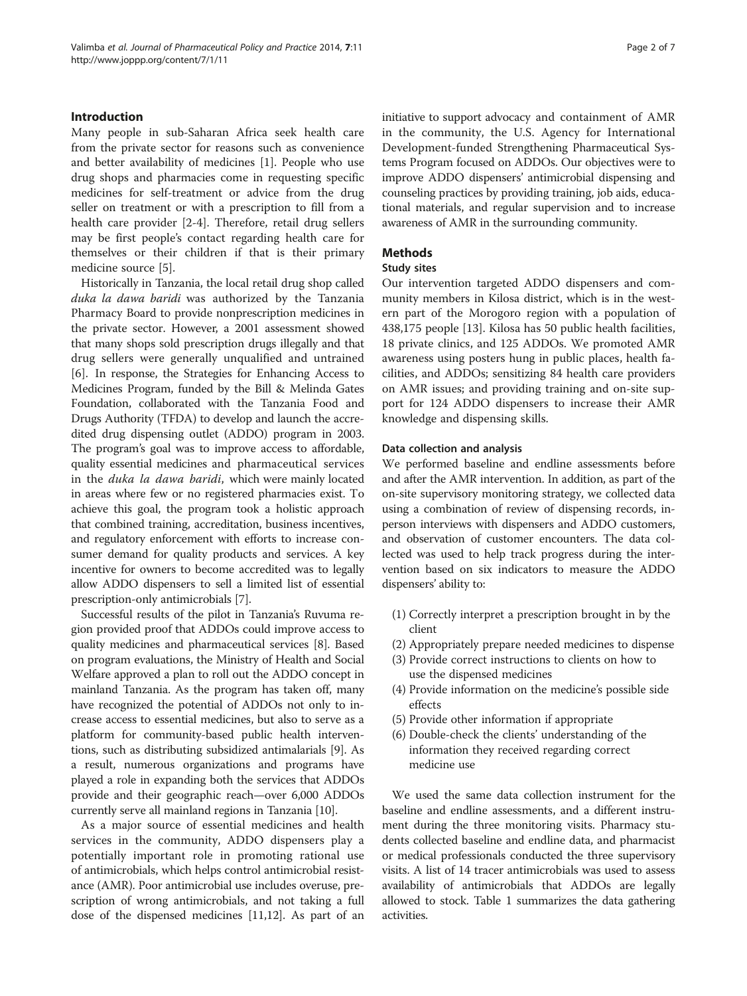# Introduction

Many people in sub-Saharan Africa seek health care from the private sector for reasons such as convenience and better availability of medicines [[1](#page-6-0)]. People who use drug shops and pharmacies come in requesting specific medicines for self-treatment or advice from the drug seller on treatment or with a prescription to fill from a health care provider [\[2](#page-6-0)-[4\]](#page-6-0). Therefore, retail drug sellers may be first people's contact regarding health care for themselves or their children if that is their primary medicine source [[5](#page-6-0)].

Historically in Tanzania, the local retail drug shop called duka la dawa baridi was authorized by the Tanzania Pharmacy Board to provide nonprescription medicines in the private sector. However, a 2001 assessment showed that many shops sold prescription drugs illegally and that drug sellers were generally unqualified and untrained [[6\]](#page-6-0). In response, the Strategies for Enhancing Access to Medicines Program, funded by the Bill & Melinda Gates Foundation, collaborated with the Tanzania Food and Drugs Authority (TFDA) to develop and launch the accredited drug dispensing outlet (ADDO) program in 2003. The program's goal was to improve access to affordable, quality essential medicines and pharmaceutical services in the duka la dawa baridi, which were mainly located in areas where few or no registered pharmacies exist. To achieve this goal, the program took a holistic approach that combined training, accreditation, business incentives, and regulatory enforcement with efforts to increase consumer demand for quality products and services. A key incentive for owners to become accredited was to legally allow ADDO dispensers to sell a limited list of essential prescription-only antimicrobials [\[7](#page-6-0)].

Successful results of the pilot in Tanzania's Ruvuma region provided proof that ADDOs could improve access to quality medicines and pharmaceutical services [\[8](#page-6-0)]. Based on program evaluations, the Ministry of Health and Social Welfare approved a plan to roll out the ADDO concept in mainland Tanzania. As the program has taken off, many have recognized the potential of ADDOs not only to increase access to essential medicines, but also to serve as a platform for community-based public health interventions, such as distributing subsidized antimalarials [[9](#page-6-0)]. As a result, numerous organizations and programs have played a role in expanding both the services that ADDOs provide and their geographic reach—over 6,000 ADDOs currently serve all mainland regions in Tanzania [\[10](#page-6-0)].

As a major source of essential medicines and health services in the community, ADDO dispensers play a potentially important role in promoting rational use of antimicrobials, which helps control antimicrobial resistance (AMR). Poor antimicrobial use includes overuse, prescription of wrong antimicrobials, and not taking a full dose of the dispensed medicines [\[11,12](#page-6-0)]. As part of an initiative to support advocacy and containment of AMR in the community, the U.S. Agency for International Development-funded Strengthening Pharmaceutical Systems Program focused on ADDOs. Our objectives were to improve ADDO dispensers' antimicrobial dispensing and counseling practices by providing training, job aids, educational materials, and regular supervision and to increase awareness of AMR in the surrounding community.

# **Methods**

# Study sites

Our intervention targeted ADDO dispensers and community members in Kilosa district, which is in the western part of the Morogoro region with a population of 438,175 people [\[13\]](#page-6-0). Kilosa has 50 public health facilities, 18 private clinics, and 125 ADDOs. We promoted AMR awareness using posters hung in public places, health facilities, and ADDOs; sensitizing 84 health care providers on AMR issues; and providing training and on-site support for 124 ADDO dispensers to increase their AMR knowledge and dispensing skills.

## Data collection and analysis

We performed baseline and endline assessments before and after the AMR intervention. In addition, as part of the on-site supervisory monitoring strategy, we collected data using a combination of review of dispensing records, inperson interviews with dispensers and ADDO customers, and observation of customer encounters. The data collected was used to help track progress during the intervention based on six indicators to measure the ADDO dispensers' ability to:

- (1) Correctly interpret a prescription brought in by the client
- (2) Appropriately prepare needed medicines to dispense
- (3) Provide correct instructions to clients on how to use the dispensed medicines
- (4) Provide information on the medicine's possible side effects
- (5) Provide other information if appropriate
- (6) Double-check the clients' understanding of the information they received regarding correct medicine use

We used the same data collection instrument for the baseline and endline assessments, and a different instrument during the three monitoring visits. Pharmacy students collected baseline and endline data, and pharmacist or medical professionals conducted the three supervisory visits. A list of 14 tracer antimicrobials was used to assess availability of antimicrobials that ADDOs are legally allowed to stock. Table [1](#page-2-0) summarizes the data gathering activities.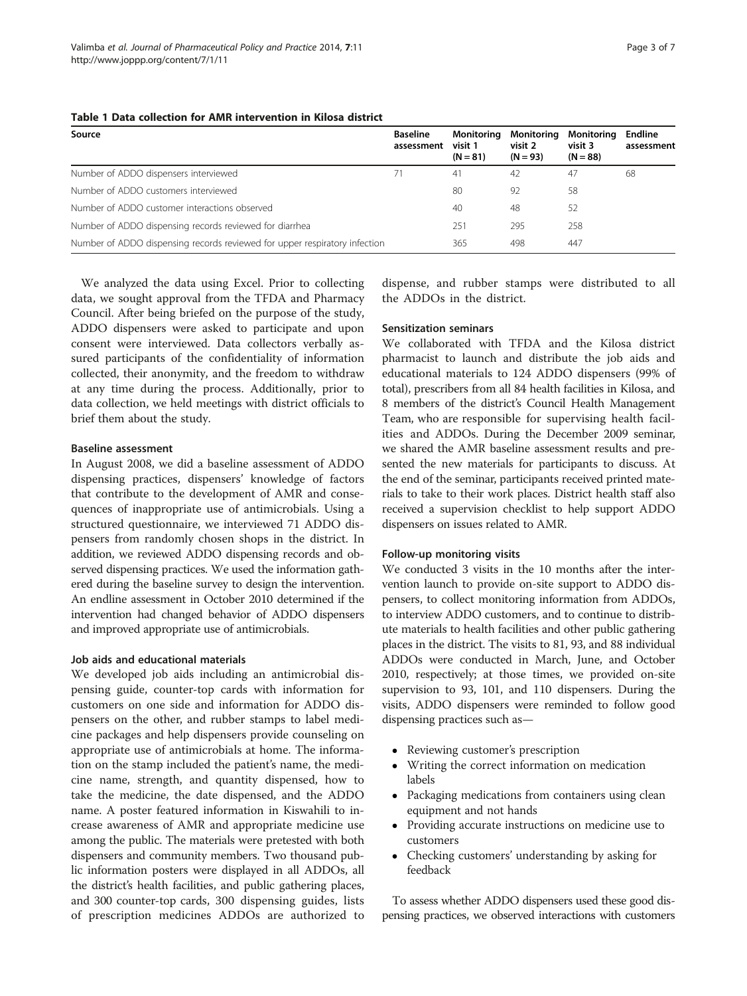# <span id="page-2-0"></span>Table 1 Data collection for AMR intervention in Kilosa district

| Source                                                                     | <b>Baseline</b><br>assessment | Monitorina<br>visit 1<br>$(N = 81)$ | Monitorina<br>visit 2<br>$(N = 93)$ | Monitorina<br>visit 3<br>$(N = 88)$ | <b>Endline</b><br>assessment |
|----------------------------------------------------------------------------|-------------------------------|-------------------------------------|-------------------------------------|-------------------------------------|------------------------------|
| Number of ADDO dispensers interviewed                                      |                               | 41                                  | 42                                  | 47                                  | 68                           |
| Number of ADDO customers interviewed                                       |                               | 80                                  | 92                                  | 58                                  |                              |
| Number of ADDO customer interactions observed                              |                               | 40                                  | 48                                  | 52                                  |                              |
| Number of ADDO dispensing records reviewed for diarrhea                    |                               | 251                                 | 295                                 | 258                                 |                              |
| Number of ADDO dispensing records reviewed for upper respiratory infection |                               | 365                                 | 498                                 | 447                                 |                              |

We analyzed the data using Excel. Prior to collecting data, we sought approval from the TFDA and Pharmacy Council. After being briefed on the purpose of the study, ADDO dispensers were asked to participate and upon consent were interviewed. Data collectors verbally assured participants of the confidentiality of information collected, their anonymity, and the freedom to withdraw at any time during the process. Additionally, prior to data collection, we held meetings with district officials to brief them about the study.

#### Baseline assessment

In August 2008, we did a baseline assessment of ADDO dispensing practices, dispensers' knowledge of factors that contribute to the development of AMR and consequences of inappropriate use of antimicrobials. Using a structured questionnaire, we interviewed 71 ADDO dispensers from randomly chosen shops in the district. In addition, we reviewed ADDO dispensing records and observed dispensing practices. We used the information gathered during the baseline survey to design the intervention. An endline assessment in October 2010 determined if the intervention had changed behavior of ADDO dispensers and improved appropriate use of antimicrobials.

#### Job aids and educational materials

We developed job aids including an antimicrobial dispensing guide, counter-top cards with information for customers on one side and information for ADDO dispensers on the other, and rubber stamps to label medicine packages and help dispensers provide counseling on appropriate use of antimicrobials at home. The information on the stamp included the patient's name, the medicine name, strength, and quantity dispensed, how to take the medicine, the date dispensed, and the ADDO name. A poster featured information in Kiswahili to increase awareness of AMR and appropriate medicine use among the public. The materials were pretested with both dispensers and community members. Two thousand public information posters were displayed in all ADDOs, all the district's health facilities, and public gathering places, and 300 counter-top cards, 300 dispensing guides, lists of prescription medicines ADDOs are authorized to

dispense, and rubber stamps were distributed to all the ADDOs in the district.

#### Sensitization seminars

We collaborated with TFDA and the Kilosa district pharmacist to launch and distribute the job aids and educational materials to 124 ADDO dispensers (99% of total), prescribers from all 84 health facilities in Kilosa, and 8 members of the district's Council Health Management Team, who are responsible for supervising health facilities and ADDOs. During the December 2009 seminar, we shared the AMR baseline assessment results and presented the new materials for participants to discuss. At the end of the seminar, participants received printed materials to take to their work places. District health staff also received a supervision checklist to help support ADDO dispensers on issues related to AMR.

#### Follow-up monitoring visits

We conducted 3 visits in the 10 months after the intervention launch to provide on-site support to ADDO dispensers, to collect monitoring information from ADDOs, to interview ADDO customers, and to continue to distribute materials to health facilities and other public gathering places in the district. The visits to 81, 93, and 88 individual ADDOs were conducted in March, June, and October 2010, respectively; at those times, we provided on-site supervision to 93, 101, and 110 dispensers. During the visits, ADDO dispensers were reminded to follow good dispensing practices such as—

- Reviewing customer's prescription
- Writing the correct information on medication labels
- Packaging medications from containers using clean equipment and not hands
- Providing accurate instructions on medicine use to customers
- Checking customers' understanding by asking for feedback

To assess whether ADDO dispensers used these good dispensing practices, we observed interactions with customers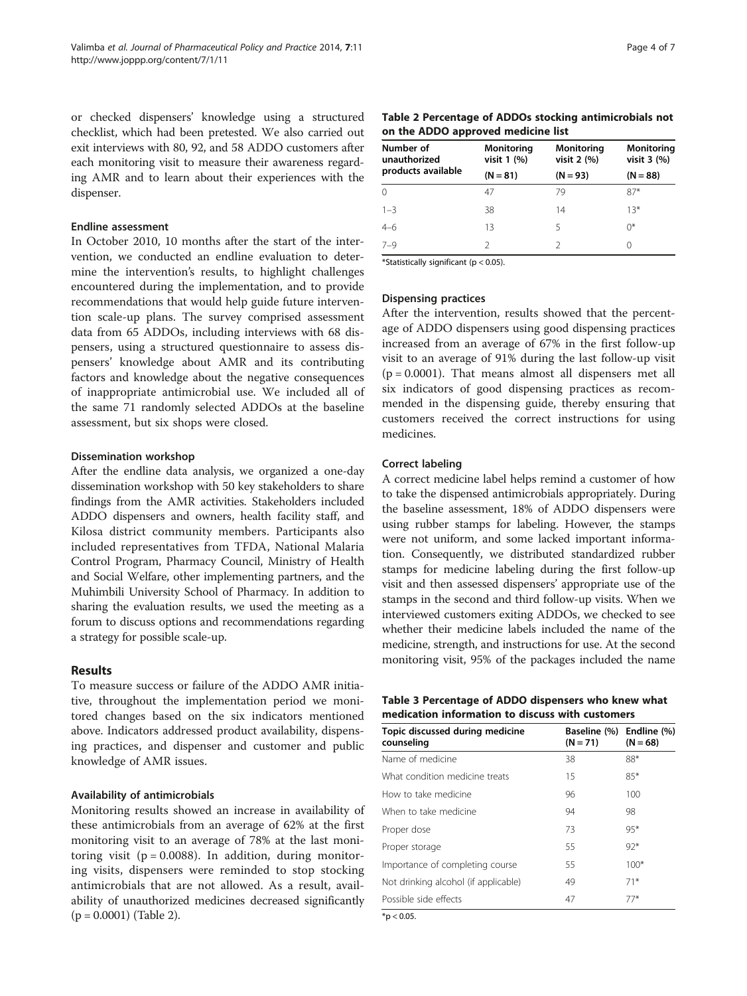<span id="page-3-0"></span>or checked dispensers' knowledge using a structured checklist, which had been pretested. We also carried out exit interviews with 80, 92, and 58 ADDO customers after each monitoring visit to measure their awareness regarding AMR and to learn about their experiences with the dispenser.

# Endline assessment

In October 2010, 10 months after the start of the intervention, we conducted an endline evaluation to determine the intervention's results, to highlight challenges encountered during the implementation, and to provide recommendations that would help guide future intervention scale-up plans. The survey comprised assessment data from 65 ADDOs, including interviews with 68 dispensers, using a structured questionnaire to assess dispensers' knowledge about AMR and its contributing factors and knowledge about the negative consequences of inappropriate antimicrobial use. We included all of the same 71 randomly selected ADDOs at the baseline assessment, but six shops were closed.

# Dissemination workshop

After the endline data analysis, we organized a one-day dissemination workshop with 50 key stakeholders to share findings from the AMR activities. Stakeholders included ADDO dispensers and owners, health facility staff, and Kilosa district community members. Participants also included representatives from TFDA, National Malaria Control Program, Pharmacy Council, Ministry of Health and Social Welfare, other implementing partners, and the Muhimbili University School of Pharmacy. In addition to sharing the evaluation results, we used the meeting as a forum to discuss options and recommendations regarding a strategy for possible scale-up.

# Results

To measure success or failure of the ADDO AMR initiative, throughout the implementation period we monitored changes based on the six indicators mentioned above. Indicators addressed product availability, dispensing practices, and dispenser and customer and public knowledge of AMR issues.

#### Availability of antimicrobials

Monitoring results showed an increase in availability of these antimicrobials from an average of 62% at the first monitoring visit to an average of 78% at the last monitoring visit ( $p = 0.0088$ ). In addition, during monitoring visits, dispensers were reminded to stop stocking antimicrobials that are not allowed. As a result, availability of unauthorized medicines decreased significantly  $(p = 0.0001)$  (Table 2).

| Table 2 Percentage of ADDOs stocking antimicrobials not |  |
|---------------------------------------------------------|--|
| on the ADDO approved medicine list                      |  |

| Number of<br>unauthorized | Monitoring<br>visit 1 (%) | Monitoring<br>visit 2 (%) | Monitoring<br>visit $3$ $(%)$ |
|---------------------------|---------------------------|---------------------------|-------------------------------|
| products available        | $(N = 81)$                | $(N = 93)$                | $(N = 88)$                    |
| 0                         | 47                        | 79                        | $87*$                         |
| $1 - 3$                   | 38                        | 14                        | $13*$                         |
| $4 - 6$                   | 13                        | 5                         | $0^*$                         |
| $7 - 9$                   |                           |                           | $\left( \right)$              |

\*Statistically significant (p < 0.05).

#### Dispensing practices

After the intervention, results showed that the percentage of ADDO dispensers using good dispensing practices increased from an average of 67% in the first follow-up visit to an average of 91% during the last follow-up visit  $(p = 0.0001)$ . That means almost all dispensers met all six indicators of good dispensing practices as recommended in the dispensing guide, thereby ensuring that customers received the correct instructions for using medicines.

#### Correct labeling

A correct medicine label helps remind a customer of how to take the dispensed antimicrobials appropriately. During the baseline assessment, 18% of ADDO dispensers were using rubber stamps for labeling. However, the stamps were not uniform, and some lacked important information. Consequently, we distributed standardized rubber stamps for medicine labeling during the first follow-up visit and then assessed dispensers' appropriate use of the stamps in the second and third follow-up visits. When we interviewed customers exiting ADDOs, we checked to see whether their medicine labels included the name of the medicine, strength, and instructions for use. At the second monitoring visit, 95% of the packages included the name

| Table 3 Percentage of ADDO dispensers who knew what |  |  |
|-----------------------------------------------------|--|--|
| medication information to discuss with customers    |  |  |

| Topic discussed during medicine<br>counseling | $(N = 71)$ | Baseline (%) Endline (%)<br>$(N = 68)$ |
|-----------------------------------------------|------------|----------------------------------------|
| Name of medicine                              | 38         | 88*                                    |
| What condition medicine treats                | 15         | $85*$                                  |
| How to take medicine                          | 96         | 100                                    |
| When to take medicine                         | 94         | 98                                     |
| Proper dose                                   | 73         | $95*$                                  |
| Proper storage                                | 55         | $92*$                                  |
| Importance of completing course               | 55         | $100*$                                 |
| Not drinking alcohol (if applicable)          | 49         | $71*$                                  |
| Possible side effects                         | 47         | $77*$                                  |

 $*$ p < 0.05.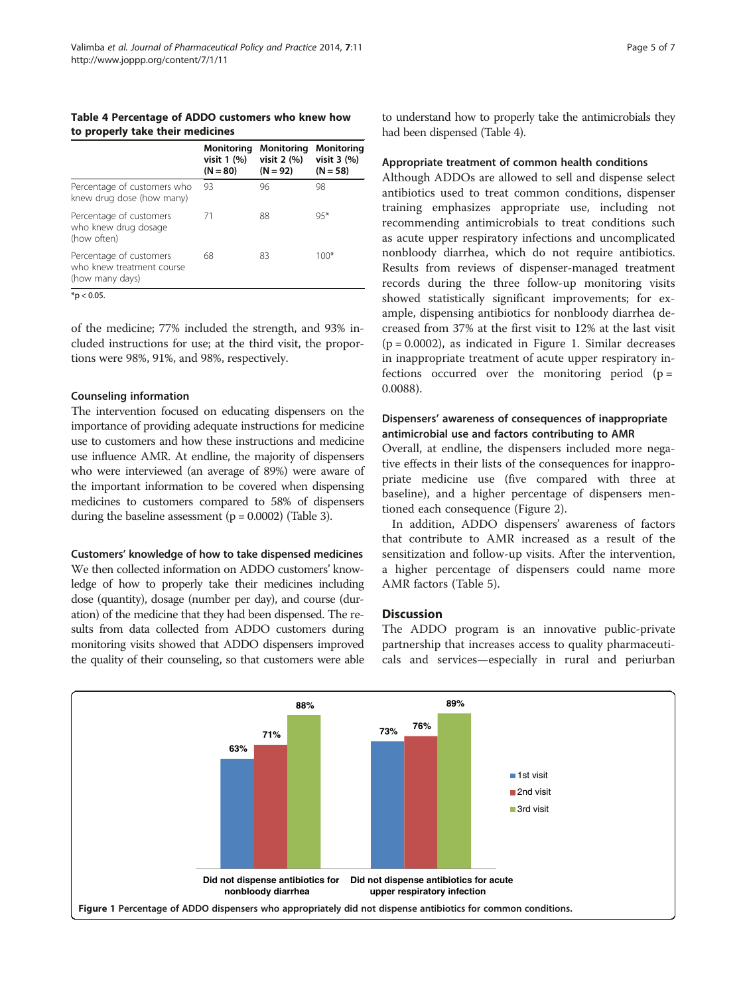Table 4 Percentage of ADDO customers who knew how to properly take their medicines

|                                                                         | Monitoring<br>visit 1 (%)<br>$(N = 80)$ | Monitoring<br>visit $2(%)$<br>$(N = 92)$ | Monitoring<br>visit $3(%)$<br>$(N = 58)$ |
|-------------------------------------------------------------------------|-----------------------------------------|------------------------------------------|------------------------------------------|
| Percentage of customers who<br>knew drug dose (how many)                | 93                                      | 96                                       | 98                                       |
| Percentage of customers<br>who knew drug dosage<br>(how often)          | 71                                      | 88                                       | $95*$                                    |
| Percentage of customers<br>who knew treatment course<br>(how many days) | 68                                      | 83                                       | $100*$                                   |
| $*$ p < 0.05.                                                           |                                         |                                          |                                          |

of the medicine; 77% included the strength, and 93% included instructions for use; at the third visit, the proportions were 98%, 91%, and 98%, respectively.

## Counseling information

The intervention focused on educating dispensers on the importance of providing adequate instructions for medicine use to customers and how these instructions and medicine use influence AMR. At endline, the majority of dispensers who were interviewed (an average of 89%) were aware of the important information to be covered when dispensing medicines to customers compared to 58% of dispensers during the baseline assessment  $(p = 0.0002)$  (Table [3](#page-3-0)).

## Customers' knowledge of how to take dispensed medicines

We then collected information on ADDO customers' knowledge of how to properly take their medicines including dose (quantity), dosage (number per day), and course (duration) of the medicine that they had been dispensed. The results from data collected from ADDO customers during monitoring visits showed that ADDO dispensers improved the quality of their counseling, so that customers were able

to understand how to properly take the antimicrobials they had been dispensed (Table 4).

# Appropriate treatment of common health conditions

Although ADDOs are allowed to sell and dispense select antibiotics used to treat common conditions, dispenser training emphasizes appropriate use, including not recommending antimicrobials to treat conditions such as acute upper respiratory infections and uncomplicated nonbloody diarrhea, which do not require antibiotics. Results from reviews of dispenser-managed treatment records during the three follow-up monitoring visits showed statistically significant improvements; for example, dispensing antibiotics for nonbloody diarrhea decreased from 37% at the first visit to 12% at the last visit  $(p = 0.0002)$ , as indicated in Figure 1. Similar decreases in inappropriate treatment of acute upper respiratory infections occurred over the monitoring period  $(p =$ 0.0088).

# Dispensers' awareness of consequences of inappropriate antimicrobial use and factors contributing to AMR

Overall, at endline, the dispensers included more negative effects in their lists of the consequences for inappropriate medicine use (five compared with three at baseline), and a higher percentage of dispensers mentioned each consequence (Figure [2\)](#page-5-0).

In addition, ADDO dispensers' awareness of factors that contribute to AMR increased as a result of the sensitization and follow-up visits. After the intervention, a higher percentage of dispensers could name more AMR factors (Table [5\)](#page-5-0).

# **Discussion**

The ADDO program is an innovative public-private partnership that increases access to quality pharmaceuticals and services—especially in rural and periurban

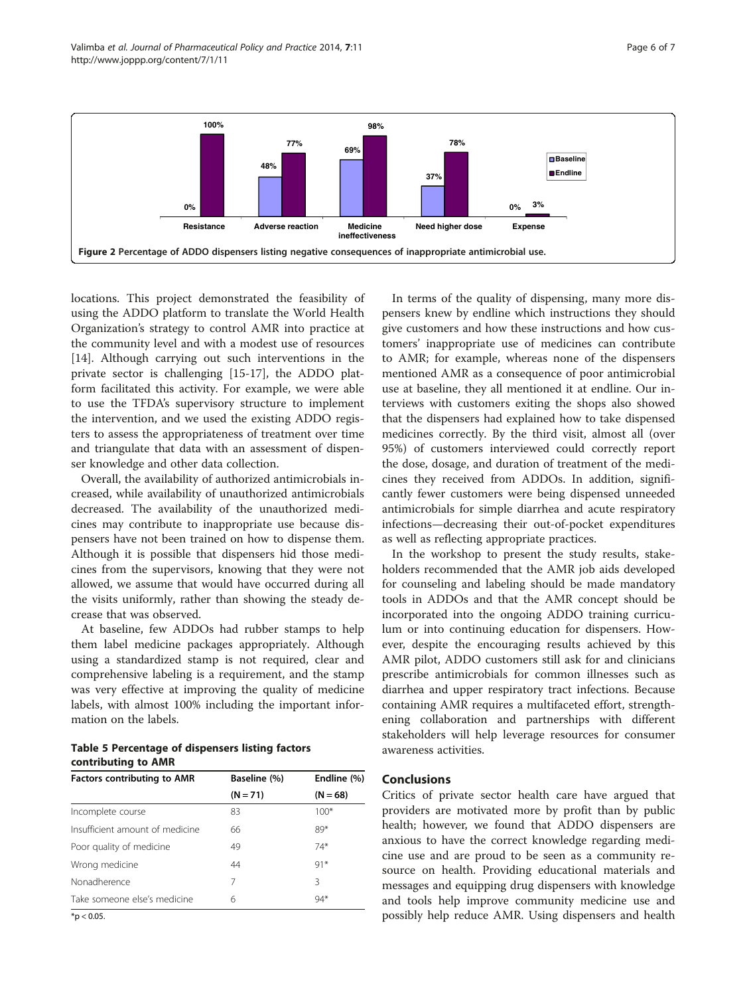<span id="page-5-0"></span>

locations. This project demonstrated the feasibility of using the ADDO platform to translate the World Health Organization's strategy to control AMR into practice at the community level and with a modest use of resources [[14\]](#page-6-0). Although carrying out such interventions in the private sector is challenging [[15-17](#page-6-0)], the ADDO platform facilitated this activity. For example, we were able to use the TFDA's supervisory structure to implement the intervention, and we used the existing ADDO registers to assess the appropriateness of treatment over time and triangulate that data with an assessment of dispenser knowledge and other data collection.

Overall, the availability of authorized antimicrobials increased, while availability of unauthorized antimicrobials decreased. The availability of the unauthorized medicines may contribute to inappropriate use because dispensers have not been trained on how to dispense them. Although it is possible that dispensers hid those medicines from the supervisors, knowing that they were not allowed, we assume that would have occurred during all the visits uniformly, rather than showing the steady decrease that was observed.

At baseline, few ADDOs had rubber stamps to help them label medicine packages appropriately. Although using a standardized stamp is not required, clear and comprehensive labeling is a requirement, and the stamp was very effective at improving the quality of medicine labels, with almost 100% including the important information on the labels.

| Table 5 Percentage of dispensers listing factors |  |
|--------------------------------------------------|--|
| contributing to AMR                              |  |

| <b>Factors contributing to AMR</b> | Baseline (%) | Endline (%) |  |
|------------------------------------|--------------|-------------|--|
|                                    | $(N = 71)$   | $(N = 68)$  |  |
| Incomplete course                  | 83           | $100*$      |  |
| Insufficient amount of medicine    | 66           | $89*$       |  |
| Poor quality of medicine           | 49           | $74*$       |  |
| Wrong medicine                     | 44           | $91*$       |  |
| Nonadherence                       | 7            | 3           |  |
| Take someone else's medicine       | 6            | $94*$       |  |

 $*$ p < 0.05.

In terms of the quality of dispensing, many more dispensers knew by endline which instructions they should give customers and how these instructions and how customers' inappropriate use of medicines can contribute to AMR; for example, whereas none of the dispensers mentioned AMR as a consequence of poor antimicrobial use at baseline, they all mentioned it at endline. Our interviews with customers exiting the shops also showed that the dispensers had explained how to take dispensed medicines correctly. By the third visit, almost all (over 95%) of customers interviewed could correctly report the dose, dosage, and duration of treatment of the medicines they received from ADDOs. In addition, significantly fewer customers were being dispensed unneeded antimicrobials for simple diarrhea and acute respiratory infections—decreasing their out-of-pocket expenditures as well as reflecting appropriate practices.

In the workshop to present the study results, stakeholders recommended that the AMR job aids developed for counseling and labeling should be made mandatory tools in ADDOs and that the AMR concept should be incorporated into the ongoing ADDO training curriculum or into continuing education for dispensers. However, despite the encouraging results achieved by this AMR pilot, ADDO customers still ask for and clinicians prescribe antimicrobials for common illnesses such as diarrhea and upper respiratory tract infections. Because containing AMR requires a multifaceted effort, strengthening collaboration and partnerships with different stakeholders will help leverage resources for consumer awareness activities.

# Conclusions

Critics of private sector health care have argued that providers are motivated more by profit than by public health; however, we found that ADDO dispensers are anxious to have the correct knowledge regarding medicine use and are proud to be seen as a community resource on health. Providing educational materials and messages and equipping drug dispensers with knowledge and tools help improve community medicine use and possibly help reduce AMR. Using dispensers and health